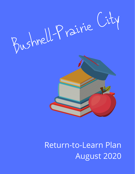



# Return-to-Learn Plan August 2020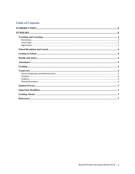# **Table of Contents**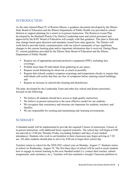# INTRODUCTION

As the state entered Phase IV of Restore Illinois, a guidance document developed by the Illinois State Board of Education and the Illinois Department of Public Health was provided to school districts to support planning for a return to in-person instruction. The Return-to-Learn Plan developed by the Bushnell-Prairie City District Leadership team and school personnel and approved by the B-PC Board of Education will comply with that guidance. This plan is fluid and may change based upon direction and mandates issued from state agencies. The District will work hard to provide timely communication with our school community of any significant changes to the current learning plan and/or important information that is received. During Phase IV, current guidelines provided by the Illinois State Board of Education and the Illinois Department of Public Health:

- Require use of appropriate personal protective equipment (PPE), including face coverings;
- Prohibit more than 50 individuals from gathering in one space;
- Require social distancing be observed, as much as possible;
- Require that schools conduct symptom screenings and temperature checks or require that individuals self-certify that they are free of symptoms before entering school buildings; and
- Require an increase in schoolwide cleaning and disinfection.

The plan, developed by the Leadership Team and other key school and district personnel, focused on the following:

- We believe all students should have access to high-quality instruction.
- We believe in-person instruction is the most effective model for our students.
- We recognize that consistency and structure are important for students, teachers, and families.
- We are responsible for creating and maintaining safe learning environments.

# SUMMARY

A blended model will be implemented to provide the required 5-hours of instruction; 4 hours of in-person instruction, with additional hours required remotely. The school day will begin at 8:00 am and end at 12:00 pm, Monday-Friday (excluding holidays and days of non-student attendance). Students who wish to eat breakfast in their classroom may begin arriving at 7:30 am. All other students should plan to arrive by 8:00 am to begin their school day.

Teachers return to school for the 2020-2021 school year on Monday, August 17. Students return to school on Wednesday, August 19. The first three days of school will be used to teach students how to engage in remote learning in this new blended model (i.e. contact their teacher, submit assignments, seek assistance, etc.). Teachers will also maintain a Google Classroom platform to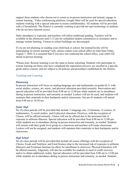support those students who choose not to return to in-person instruction and instead, engage in remote learning. Video conferencing platform, Google Meet will be used for special education students working with a special educator to insure confidentiality. All students will be provided with a Chromebook. The District is currently working to provide hot spot technology to students who do not have Internet access.

Daily attendance is expected, and teachers will utilize traditional grading. Teachers will be available in the afternoons until 3:15 pm for scheduled student consultation or assistance and to manage remote learning. Visitors to school buildings are discouraged.

If you are not planning on sending your child back to school, but instead he/she will be participating in remote learning\* only, please contact your school office no later than Friday, August 7, 2020. It is assumed that if you have not contacted the school office, your child will attend in-person learning.

\*Please note: Remote learning is not the same as home schooling. Students who participate in remote learning are those who have completed the registration process; are enrolled in a specific grade and/or courses; and are subject to all policies and procedures established by the District.

# Teaching and Learning

#### *Elementary*

In-person instruction will focus on reading/language arts and mathematics in grades K-5; with social studies, science, art, music, and physical education provided remotely. Intervention and special education will be provided from 8:00 am to 12:00 pm while students are in attendance during in-person instruction, and remotely as needed. Lockers will not be used, and students will maintain their materials in their backpacks and/or classrooms. Our pre-K students will attend from 8:00 am to 10:30 am.

# *Junior High*

Six (6) class periods will be provided that include 1) language arts, 2) literature, 3) science, 4) mathematics, 5) social studies, and 6) physical education. Electives, with the exception of Chorus, will be offered remotely. Chorus will not be offered due to the increased risk of exposure to airborne illnesses. Special education will be provided from 8:00 am to 12:00 pm while students are in attendance during in-person instruction and remotely, as needed. Students will remain with their grade level group in a classroom and teachers will rotate classrooms. Lockers will not be assigned, and students will maintain their materials in their backpacks and/or classrooms.

# *High School*

Six (6) class periods will be provided that include all course offerings with the exception of Chorus, Foods and Nutrition, and Food Science (due to the increased risk of exposure to airborne illnesses) and Freshman Seminar (to allow for enrollment in electives). Physical Education will be offered remotely. Edgenuity will also be available for students in need of credit recovery and/or to obtain additional credits. Special education will be provided from 8:00 am to 12:00 pm while students are in attendance during in-person instruction and remotely, as needed. Students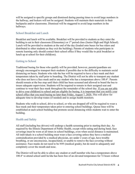will be assigned to specific groups and dismissed during passing times to avoid large numbers in the hallway, and lockers will not be assigned. Students will maintain their materials in their backpacks and/or classrooms. Dismissal will be staggered to avoid large numbers in the hallways.

### School Breakfast and Lunch

Breakfast and lunch will be available. Breakfast will be provided to students as they enter the building to eat in their classroom (Elementary) or  $1<sup>st</sup>$  period class (Junior High and High School). Lunch will be provided to students at the end of the day (loaded onto buses for bus riders and distributed to other students as they exit the building). Parents of students who participate in remote learning only should contact their school office if they would like to pick breakfast or lunch up at school for their child(ren).

# Getting to School

Traditional busing for those who qualify will be provided; however, parents/guardians are strongly encouraged to transport their students if possible due to the difficulty to maintain social distancing on buses. Students who ride the bus will be required to have a face mask and their temperature taken by staff prior to boarding. The District will not be able to transport any student who does not have a face mask and/or any student who has a temperature above 100.4°. Parents should remain at the bus stop until their child has been screened and allowed to board the bus to insure adequate supervision. Students will be required to remain in their assigned seat and continue to wear their face mask throughout the remainder of the school day. If you are not able to drive your child(ren) to school and are eligible for busing, it is important that you notify your school office that you need busing no later than Friday, August 7, 2020. This will allow for adequate time to develop routes (if needed) and to assign health monitors.

Students who walk to school, drive to school, or who are dropped off will be required to wear a face mask and their temperature taken prior to entering school buildings. Queue lines will be established at each school building that promote social distancing while students wait to enter the building.

# Health and Safety

All staff (including bus drivers) will undergo a health screening prior to starting their day. As required by the Illinois Department of Public Health, except while eating and during band, face coverings must be worn at all times in school buildings, even when social distance is maintained. All individuals in a school building must wear a face covering unless they have a medical contraindication provided by a medical physician, are under 2 years of age, have trouble breathing, or are unconscious, incapacitated, or unable to remove the face covering without assistance. Face masks do not need to be N95 (medical grade), but do need to adequately and completely cover the mouth and nose.

The District will not be able to allow any student or staff member who has a temperature above 100.4° to attend school until he/she has been free of an elevated temperature for 72 hours without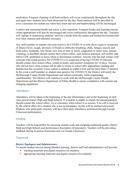medication. Frequent cleaning of all hard surfaces will occur continuously throughout the day and again once students have been dismissed for the day. Hand sanitizer will be provided in every classroom for student use when they enter and exit and handwashing will be encouraged.

Comfort and emotional health and safety is also important. Frequent breaks and learning outside (when appropriate) will also be encouraged and occur continuously throughout the day. Teachers will vigilant in monitoring students' need for a break from the masks and limited movement until over time, stamina and tolerance increases.

Any staff member or student who tests positive for COVID-19 or who shows signs or symptoms of illness (fever, cough, shortness of breath or difficulty breathing, chills, fatigue, muscle and body aches, headache, sore throat, new loss of taste or smell, congestion or runny nose, nausea, vomiting, or diarrhea) should contact their school office, seek medical attention, self-isolate, and follow CDC guidelines to know when to discontinue isolation. Anyone who has had contact with someone who tested positive for COVID-19 or is suspected of having COVID-19 infection should contact their school office, isolate at home, and monitor symptoms for 14 days. Anyone who did not have close contact will be able to return to school after appropriate cleaning and disinfection has occurred. Close contact is defined as within 6 feet and for more than 15 minutes. In the event a staff member or student tests positive for COVID-19, the District will notify the McDonough County Health Department and school community while maintaining confidentiality. The District will continue to work with the McDonough County Health Department and the Illinois Department of Public Health to ensure compliance with current and changing regulations.

# **Attendance**

Attendance will be taken at the beginning of the day (Elementary) and at the beginning of each class period (Junior High and High School). If a student is unable to attend, the parent/guardian should contact the school office. As is customary when school is in session, if no call is received by the school office for a student who is not in attendance, he/she will be marked unexcused. Students who participate remotely will have their daily attendance monitored through Google Classroom participation.

# Grading

Teachers will be responsible for assessing student work and assigning traditional grades (Junior High and High School) and performance descriptors (Elementary). Teachers will be providing feedback during in-person instruction and via Google Classroom.

# Teamwork

# *District Employees and Administrators*

To ensure student success during blended learning, district staff and administrators will provide

- teaching materials and digital resources for teachers;
- appropriate learning materials and digital resources for students;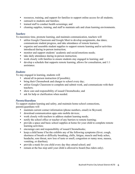- resources, training, and support for families to support online access for all students;
- outreach to students and families;
- trained staff to conduct health screenings; and
- cleaning supplies, training, and staff to maintain safe and clean learning environments.

#### *Teachers*

To maximize time, promote learning, and maintain communication, teachers will

- utilize Google Classroom and Google Meet to develop assignments, due dates; communicate student progress, and take attendance of remote learners;
- organize and assemble student supplies to support remote learning and/or activities introduced during in-person instruction;
- monitor and support students' academic and social/emotions needs;
- take daily attendance during in-person instruction;
- work closely with families to ensure students stay engaged in learning; and
- develop a schedule that supports remote learning, allows for consultation, and 1:1 assistance.

#### *Students*

To stay engaged in learning, students will

- attend all in-person instruction (if possible);
- bring their Chromebook and charger to school every day;
- utilize Google Classroom to complete and submit work, and communicate with their teachers;
- show care and responsibility of issued Chromebooks; and
- ask for help or clarification when needed.

# *Parents/Guardians*

To support student learning and safety, and maintain home-school connections, parents/guardians will

- maintain current contact information (phone numbers, email) in Skyward;
- download communication apps onto mobile devices;
- work closely with teachers to address student learning needs;
- notify the school office or teacher of any barriers to remote learning;
- provide a space and basic school supplies at home for your child to complete remote learning activities;
- encourage care and responsibility of issued Chromebooks;
- keep a child home if he/she exhibits any of the following symptoms (fever, cough, shortness of breath or difficulty breathing, chills, fatigue, muscle and body aches, headache, sore throat, new loss of taste or smell, congestion or runny nose, nausea, vomiting, or diarrhea);
- provide a mask for you child every day they attend school; and
- remain at the bus stop until your child is allowed to board (bus riders only).